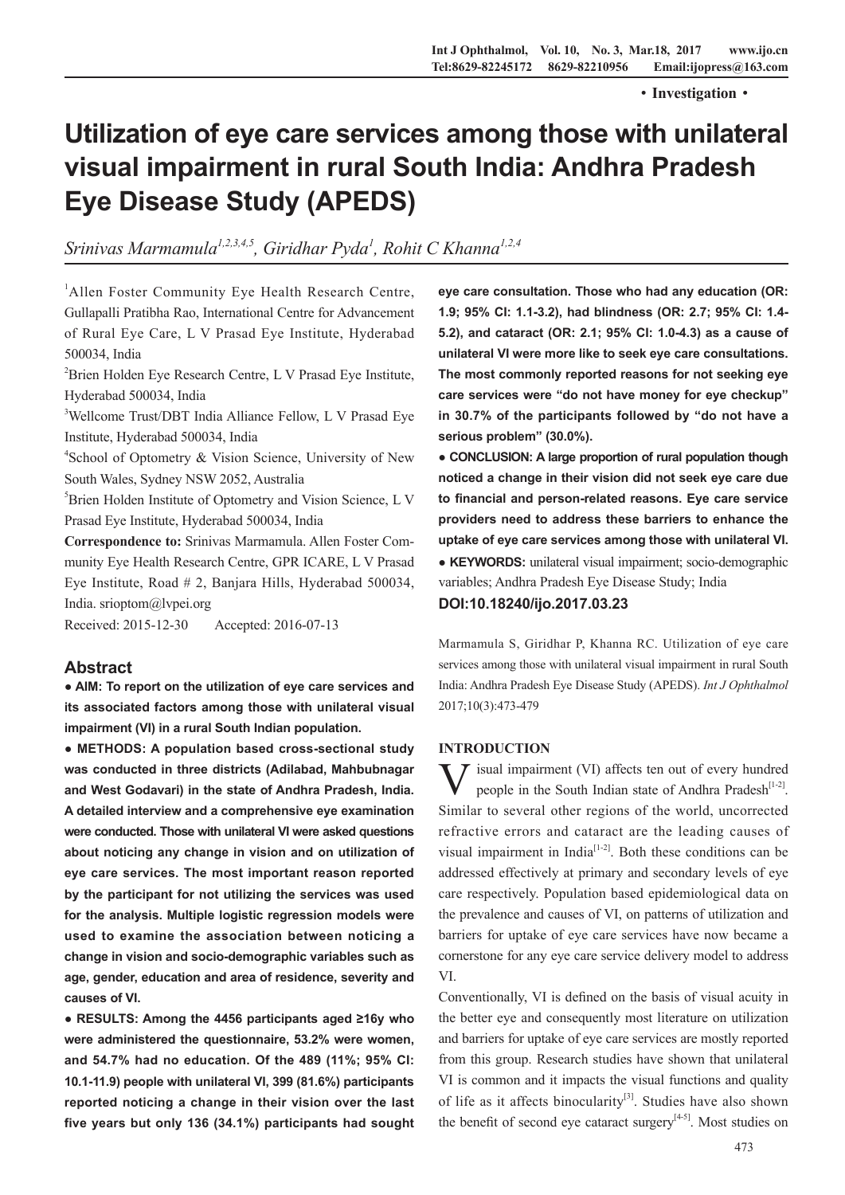·**Investigation**·

# **Utilization of eye care services among those with unilateral visual impairment in rural South India: Andhra Pradesh Eye Disease Study (APEDS)**

*Srinivas Marmamula1,2,3,4,5, Giridhar Pyda1 , Rohit C Khanna1,2,4*

<sup>1</sup>Allen Foster Community Eye Health Research Centre, Gullapalli Pratibha Rao, International Centre for Advancement of Rural Eye Care, L V Prasad Eye Institute, Hyderabad 500034, India

<sup>2</sup> Brien Holden Eye Research Centre, L V Prasad Eye Institute, Hyderabad 500034, India

3 Wellcome Trust/DBT India Alliance Fellow, L V Prasad Eye Institute, Hyderabad 500034, India

4 School of Optometry & Vision Science, University of New South Wales, Sydney NSW 2052, Australia

5 Brien Holden Institute of Optometry and Vision Science, L V Prasad Eye Institute, Hyderabad 500034, India

**Correspondence to:** Srinivas Marmamula. Allen Foster Community Eye Health Research Centre, GPR ICARE, L V Prasad Eye Institute, Road # 2, Banjara Hills, Hyderabad 500034, India. srioptom@lvpei.org

Received: 2015-12-30 Accepted: 2016-07-13

## **Abstract**

**● AIM: To report on the utilization of eye care services and its associated factors among those with unilateral visual impairment (VI) in a rural South Indian population.**

**● METHODS: A population based cross-sectional study was conducted in three districts (Adilabad, Mahbubnagar and West Godavari) in the state of Andhra Pradesh, India. A detailed interview and a comprehensive eye examination were conducted. Those with unilateral VI were asked questions about noticing any change in vision and on utilization of eye care services. The most important reason reported by the participant for not utilizing the services was used for the analysis. Multiple logistic regression models were used to examine the association between noticing a change in vision and socio-demographic variables such as age, gender, education and area of residence, severity and causes of VI.**

**● RESULTS: Among the 4456 participants aged ≥16y who were administered the questionnaire, 53.2% were women, and 54.7% had no education. Of the 489 (11%; 95% CI: 10.1-11.9) people with unilateral VI, 399 (81.6%) participants reported noticing a change in their vision over the last five years but only 136 (34.1%) participants had sought**  **eye care consultation. Those who had any education (OR: 1.9; 95% CI: 1.1-3.2), had blindness (OR: 2.7; 95% CI: 1.4- 5.2), and cataract (OR: 2.1; 95% CI: 1.0-4.3) as a cause of unilateral VI were more like to seek eye care consultations. The most commonly reported reasons for not seeking eye care services were "do not have money for eye checkup" in 30.7% of the participants followed by "do not have a serious problem" (30.0%).**

**● CONCLUSION: A large proportion of rural population though noticed a change in their vision did not seek eye care due to financial and person-related reasons. Eye care service providers need to address these barriers to enhance the uptake of eye care services among those with unilateral VI. ● KEYWORDS:** unilateral visual impairment; socio-demographic

variables; Andhra Pradesh Eye Disease Study; India

**DOI:10.18240/ijo.2017.03.23**

Marmamula S, Giridhar P, Khanna RC. Utilization of eye care services among those with unilateral visual impairment in rural South India: Andhra Pradesh Eye Disease Study (APEDS). *Int J Ophthalmol* 2017;10(3):473-479

#### **INTRODUCTION**

 $\sum$  isual impairment (VI) affects ten out of every hundred people in the South Indian state of Andhra Pradesh $[1-2]$ . Similar to several other regions of the world, uncorrected refractive errors and cataract are the leading causes of visual impairment in India<sup>[1-2]</sup>. Both these conditions can be addressed effectively at primary and secondary levels of eye care respectively. Population based epidemiological data on the prevalence and causes of VI, on patterns of utilization and barriers for uptake of eye care services have now became a cornerstone for any eye care service delivery model to address VI.

Conventionally, VI is defined on the basis of visual acuity in the better eye and consequently most literature on utilization and barriers for uptake of eye care services are mostly reported from this group. Research studies have shown that unilateral VI is common and it impacts the visual functions and quality of life as it affects binocularity<sup>[3]</sup>. Studies have also shown the benefit of second eye cataract surgery<sup>[4-5]</sup>. Most studies on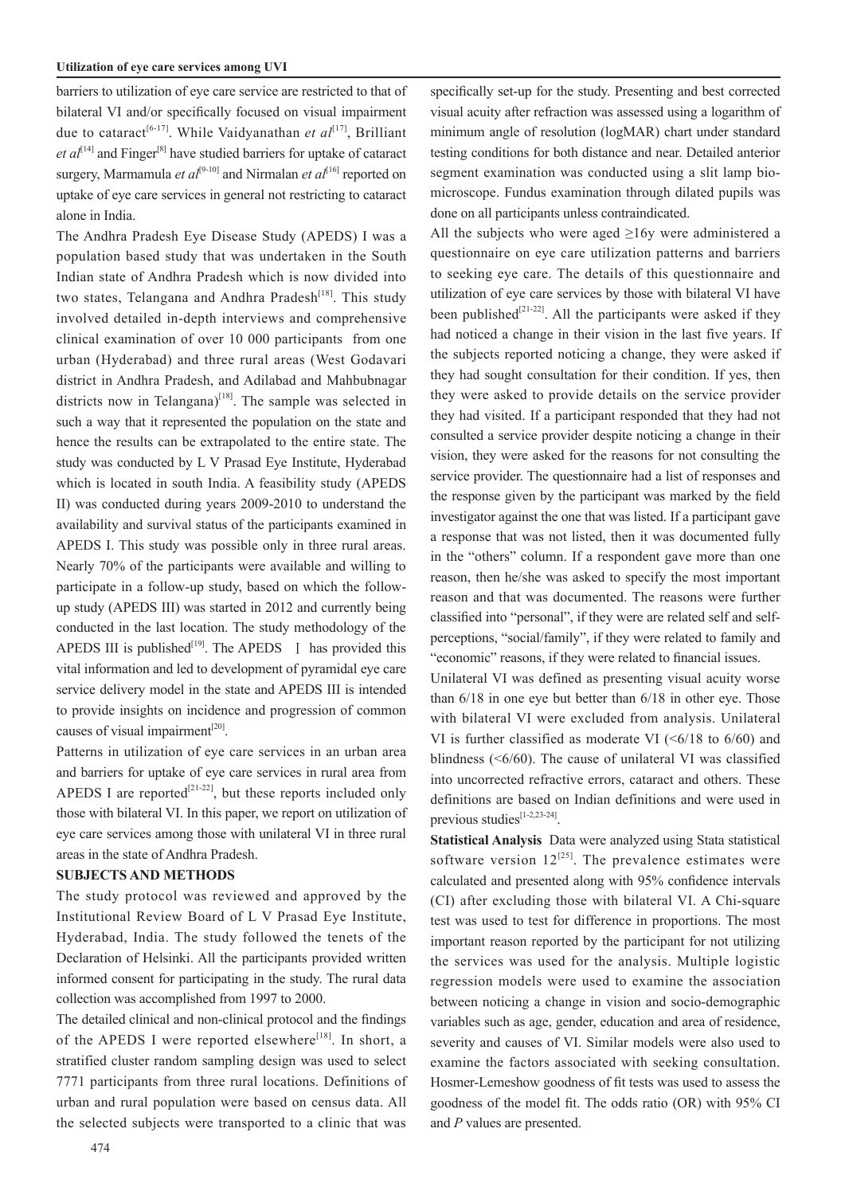barriers to utilization of eye care service are restricted to that of bilateral VI and/or specifically focused on visual impairment due to cataract<sup>[6-17]</sup>. While Vaidyanathan *et al*<sup>[17]</sup>, Brilliant *et*  $al^{[14]}$  and Finger<sup>[8]</sup> have studied barriers for uptake of cataract surgery, Marmamula *et al*<sup>[9-10]</sup> and Nirmalan *et al*<sup>[16]</sup> reported on uptake of eye care services in general not restricting to cataract alone in India.

The Andhra Pradesh Eye Disease Study (APEDS) I was a population based study that was undertaken in the South Indian state of Andhra Pradesh which is now divided into two states, Telangana and Andhra Pradesh<sup>[18]</sup>. This study involved detailed in-depth interviews and comprehensive clinical examination of over 10 000 participants from one urban (Hyderabad) and three rural areas (West Godavari district in Andhra Pradesh, and Adilabad and Mahbubnagar districts now in Telangana)<sup>[18]</sup>. The sample was selected in such a way that it represented the population on the state and hence the results can be extrapolated to the entire state. The study was conducted by L V Prasad Eye Institute, Hyderabad which is located in south India. A feasibility study (APEDS II) was conducted during years 2009-2010 to understand the availability and survival status of the participants examined in APEDS I. This study was possible only in three rural areas. Nearly 70% of the participants were available and willing to participate in a follow-up study, based on which the followup study (APEDS III) was started in 2012 and currently being conducted in the last location. The study methodology of the APEDS III is published<sup>[19]</sup>. The APEDS  $\parallel$  has provided this vital information and led to development of pyramidal eye care service delivery model in the state and APEDS III is intended to provide insights on incidence and progression of common causes of visual impairment $^{[20]}$ .

Patterns in utilization of eye care services in an urban area and barriers for uptake of eye care services in rural area from APEDS I are reported<sup>[21-22]</sup>, but these reports included only those with bilateral VI. In this paper, we report on utilization of eye care services among those with unilateral VI in three rural areas in the state of Andhra Pradesh.

### **SUBJECTS AND METHODS**

The study protocol was reviewed and approved by the Institutional Review Board of L V Prasad Eye Institute, Hyderabad, India. The study followed the tenets of the Declaration of Helsinki. All the participants provided written informed consent for participating in the study. The rural data collection was accomplished from 1997 to 2000.

The detailed clinical and non-clinical protocol and the findings of the APEDS I were reported elsewhere<sup>[18]</sup>. In short, a stratified cluster random sampling design was used to select 7771 participants from three rural locations. Definitions of urban and rural population were based on census data. All the selected subjects were transported to a clinic that was

specifically set-up for the study. Presenting and best corrected visual acuity after refraction was assessed using a logarithm of minimum angle of resolution (logMAR) chart under standard testing conditions for both distance and near. Detailed anterior segment examination was conducted using a slit lamp biomicroscope. Fundus examination through dilated pupils was done on all participants unless contraindicated.

All the subjects who were aged  $\geq 16y$  were administered a questionnaire on eye care utilization patterns and barriers to seeking eye care. The details of this questionnaire and utilization of eye care services by those with bilateral VI have been published<sup>[21-22]</sup>. All the participants were asked if they had noticed a change in their vision in the last five years. If the subjects reported noticing a change, they were asked if they had sought consultation for their condition. If yes, then they were asked to provide details on the service provider they had visited. If a participant responded that they had not consulted a service provider despite noticing a change in their vision, they were asked for the reasons for not consulting the service provider. The questionnaire had a list of responses and the response given by the participant was marked by the field investigator against the one that was listed. If a participant gave a response that was not listed, then it was documented fully in the "others" column. If a respondent gave more than one reason, then he/she was asked to specify the most important reason and that was documented. The reasons were further classified into "personal", if they were are related self and selfperceptions, "social/family", if they were related to family and "economic" reasons, if they were related to financial issues.

Unilateral VI was defined as presenting visual acuity worse than 6/18 in one eye but better than 6/18 in other eye. Those with bilateral VI were excluded from analysis. Unilateral VI is further classified as moderate VI  $( $6/18$  to  $6/60$ ) and$ blindness (<6/60). The cause of unilateral VI was classified into uncorrected refractive errors, cataract and others. These definitions are based on Indian definitions and were used in previous studies $[1-2,23-24]$ .

**Statistical Analysis** Data were analyzed using Stata statistical software version  $12^{[25]}$ . The prevalence estimates were calculated and presented along with 95% confidence intervals (CI) after excluding those with bilateral VI. A Chi-square test was used to test for difference in proportions. The most important reason reported by the participant for not utilizing the services was used for the analysis. Multiple logistic regression models were used to examine the association between noticing a change in vision and socio-demographic variables such as age, gender, education and area of residence, severity and causes of VI. Similar models were also used to examine the factors associated with seeking consultation. Hosmer-Lemeshow goodness of fit tests was used to assess the goodness of the model fit. The odds ratio (OR) with 95% CI and *P* values are presented.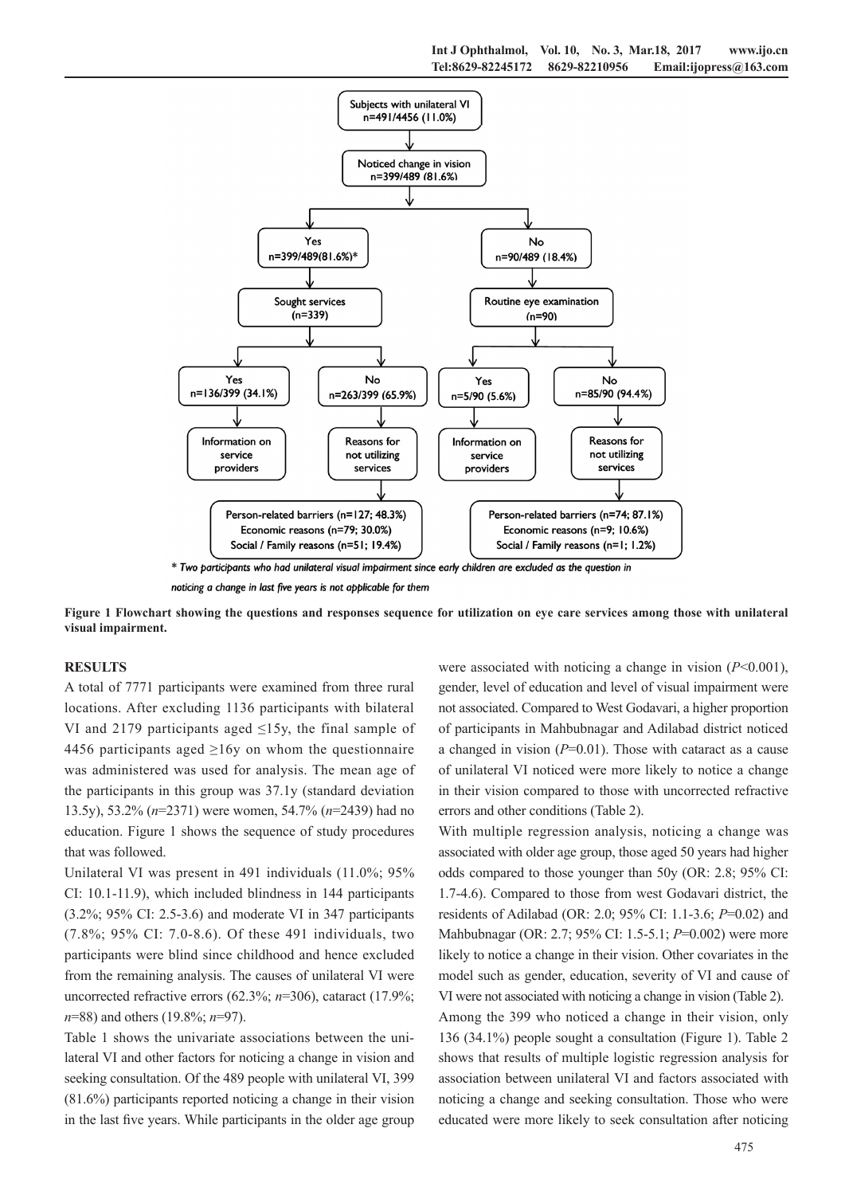

**Figure 1 Flowchart showing the questions and responses sequence for utilization on eye care services among those with unilateral visual impairment.**

#### **RESULTS**

A total of 7771 participants were examined from three rural locations. After excluding 1136 participants with bilateral VI and 2179 participants aged  $\leq$ 15y, the final sample of 4456 participants aged  $\geq 16y$  on whom the questionnaire was administered was used for analysis. The mean age of the participants in this group was 37.1y (standard deviation 13.5y), 53.2% (*n*=2371) were women, 54.7% (*n*=2439) had no education. Figure 1 shows the sequence of study procedures that was followed.

Unilateral VI was present in 491 individuals (11.0%; 95% CI: 10.1-11.9), which included blindness in 144 participants (3.2%; 95% CI: 2.5-3.6) and moderate VI in 347 participants (7.8%; 95% CI: 7.0-8.6). Of these 491 individuals, two participants were blind since childhood and hence excluded from the remaining analysis. The causes of unilateral VI were uncorrected refractive errors (62.3%; *n*=306), cataract (17.9%; *n*=88) and others (19.8%; *n*=97).

Table 1 shows the univariate associations between the unilateral VI and other factors for noticing a change in vision and seeking consultation. Of the 489 people with unilateral VI, 399 (81.6%) participants reported noticing a change in their vision in the last five years. While participants in the older age group

were associated with noticing a change in vision (*P*<0.001), gender, level of education and level of visual impairment were not associated. Compared to West Godavari, a higher proportion of participants in Mahbubnagar and Adilabad district noticed a changed in vision (*P*=0.01). Those with cataract as a cause of unilateral VI noticed were more likely to notice a change in their vision compared to those with uncorrected refractive errors and other conditions (Table 2).

With multiple regression analysis, noticing a change was associated with older age group, those aged 50 years had higher odds compared to those younger than 50y (OR: 2.8; 95% CI: 1.7-4.6). Compared to those from west Godavari district, the residents of Adilabad (OR: 2.0; 95% CI: 1.1-3.6; *P*=0.02) and Mahbubnagar (OR: 2.7; 95% CI: 1.5-5.1; *P*=0.002) were more likely to notice a change in their vision. Other covariates in the model such as gender, education, severity of VI and cause of VI were not associated with noticing a change in vision (Table 2).

Among the 399 who noticed a change in their vision, only 136 (34.1%) people sought a consultation (Figure 1). Table 2 shows that results of multiple logistic regression analysis for association between unilateral VI and factors associated with noticing a change and seeking consultation. Those who were educated were more likely to seek consultation after noticing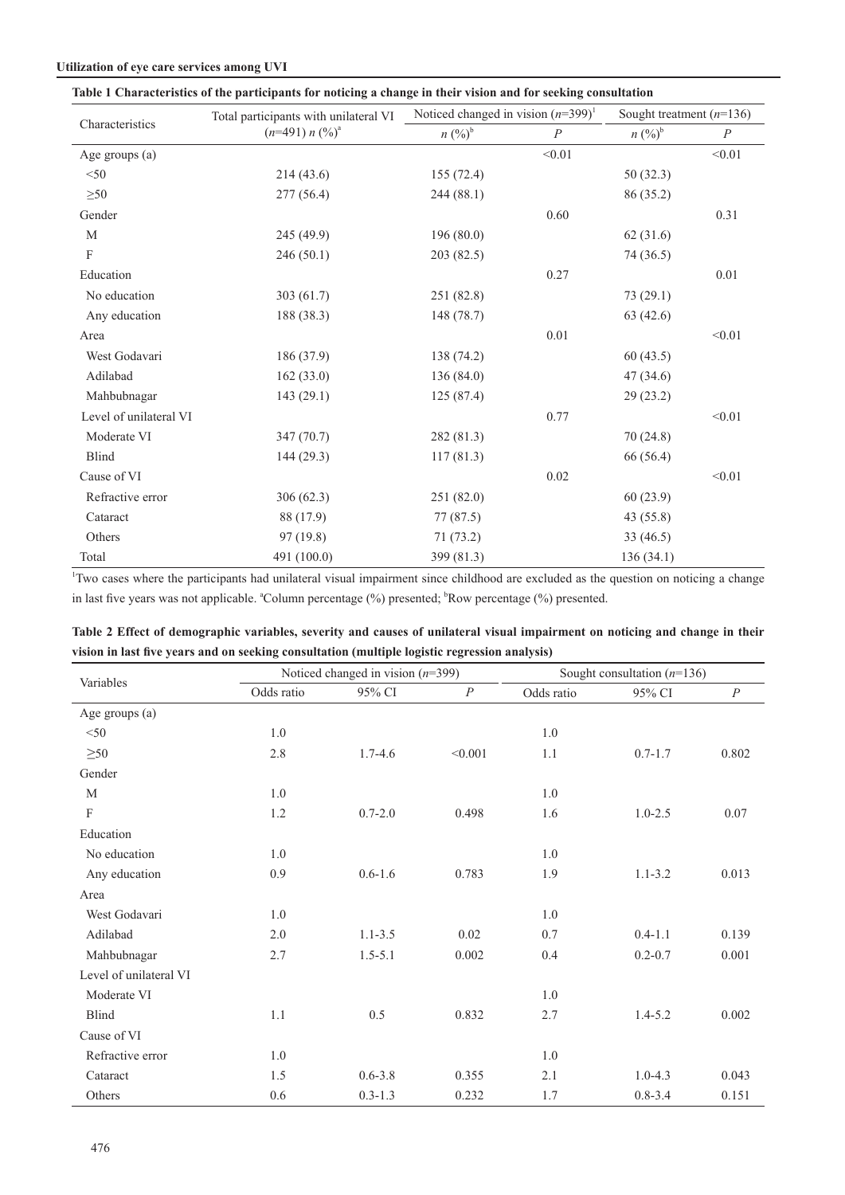#### **Utilization of eye care services among UVI**

| Table 1 Characteristics of the participants for noticing a change in their vision and for seeking consultation |  |                                                                                                                    |  |  |  |  |  |  |  |  |  |  |  |  |  |
|----------------------------------------------------------------------------------------------------------------|--|--------------------------------------------------------------------------------------------------------------------|--|--|--|--|--|--|--|--|--|--|--|--|--|
|                                                                                                                |  | $\mathbf{r}$ and $\mathbf{r}$ and $\mathbf{r}$ and $\mathbf{r}$ and $\mathbf{r}$ and $\mathbf{r}$ and $\mathbf{r}$ |  |  |  |  |  |  |  |  |  |  |  |  |  |

|                        | Total participants with unilateral VI | Noticed changed in vision $(n=399)^1$ |                  | Sought treatment $(n=136)$ |                  |  |
|------------------------|---------------------------------------|---------------------------------------|------------------|----------------------------|------------------|--|
| Characteristics        | $(n=491) n (%)^a$                     | $n (%)^b$                             | $\boldsymbol{P}$ | $n (%)^b$                  | $\boldsymbol{P}$ |  |
| Age groups (a)         |                                       |                                       | < 0.01           |                            | < 0.01           |  |
| < 50                   | 214(43.6)                             | 155(72.4)                             |                  | 50(32.3)                   |                  |  |
| $\geq 50$              | 277(56.4)                             | 244 (88.1)                            |                  | 86 (35.2)                  |                  |  |
| Gender                 |                                       |                                       | 0.60             |                            | 0.31             |  |
| M                      | 245 (49.9)                            | 196(80.0)                             |                  | 62(31.6)                   |                  |  |
| F                      | 246(50.1)                             | 203 (82.5)                            |                  | 74 (36.5)                  |                  |  |
| Education              |                                       |                                       | 0.27             |                            | 0.01             |  |
| No education           | 303(61.7)                             | 251 (82.8)                            |                  | 73(29.1)                   |                  |  |
| Any education          | 188 (38.3)                            | 148 (78.7)                            |                  | 63(42.6)                   |                  |  |
| Area                   |                                       |                                       | $0.01\,$         |                            | < 0.01           |  |
| West Godavari          | 186 (37.9)                            | 138 (74.2)                            |                  | 60(43.5)                   |                  |  |
| Adilabad               | 162(33.0)                             | 136(84.0)                             |                  | 47(34.6)                   |                  |  |
| Mahbubnagar            | 143(29.1)                             | 125(87.4)                             |                  | 29(23.2)                   |                  |  |
| Level of unilateral VI |                                       |                                       | 0.77             |                            | < 0.01           |  |
| Moderate VI            | 347 (70.7)                            | 282 (81.3)                            |                  | 70(24.8)                   |                  |  |
| <b>Blind</b>           | 144(29.3)                             | 117(81.3)                             |                  | 66 (56.4)                  |                  |  |
| Cause of VI            |                                       |                                       | $0.02\,$         |                            | < 0.01           |  |
| Refractive error       | 306(62.3)                             | 251 (82.0)                            |                  | 60(23.9)                   |                  |  |
| Cataract               | 88 (17.9)                             | 77 (87.5)                             |                  | 43(55.8)                   |                  |  |
| Others                 | 97(19.8)                              | 71(73.2)                              |                  | 33(46.5)                   |                  |  |
| Total                  | 491 (100.0)                           | 399 (81.3)                            |                  | 136(34.1)                  |                  |  |

<sup>1</sup>Two cases where the participants had unilateral visual impairment since childhood are excluded as the question on noticing a change in last five years was not applicable. "Column percentage (%) presented; "Row percentage (%) presented.

| Table 2 Effect of demographic variables, severity and causes of unilateral visual impairment on noticing and change in their |  |  |  |  |  |  |  |  |
|------------------------------------------------------------------------------------------------------------------------------|--|--|--|--|--|--|--|--|
| vision in last five years and on seeking consultation (multiple logistic regression analysis)                                |  |  |  |  |  |  |  |  |

|                        |            | Noticed changed in vision $(n=399)$ |                  | Sought consultation $(n=136)$ |             |                  |  |
|------------------------|------------|-------------------------------------|------------------|-------------------------------|-------------|------------------|--|
| Variables              | Odds ratio | 95% CI                              | $\boldsymbol{P}$ | Odds ratio                    | 95% CI      | $\boldsymbol{P}$ |  |
| Age groups (a)         |            |                                     |                  |                               |             |                  |  |
| $<$ 50                 | 1.0        |                                     |                  | 1.0                           |             |                  |  |
| $\geq 50$              | 2.8        | $1.7 - 4.6$                         | < 0.001          | 1.1                           | $0.7 - 1.7$ | 0.802            |  |
| Gender                 |            |                                     |                  |                               |             |                  |  |
| M                      | 1.0        |                                     |                  | 1.0                           |             |                  |  |
| $\mathbf F$            | 1.2        | $0.7 - 2.0$                         | 0.498            | 1.6                           | $1.0 - 2.5$ | 0.07             |  |
| Education              |            |                                     |                  |                               |             |                  |  |
| No education           | 1.0        |                                     |                  | 1.0                           |             |                  |  |
| Any education          | 0.9        | $0.6 - 1.6$                         | 0.783            | 1.9                           | $1.1 - 3.2$ | 0.013            |  |
| Area                   |            |                                     |                  |                               |             |                  |  |
| West Godavari          | 1.0        |                                     |                  | 1.0                           |             |                  |  |
| Adilabad               | 2.0        | $1.1 - 3.5$                         | 0.02             | 0.7                           | $0.4 - 1.1$ | 0.139            |  |
| Mahbubnagar            | 2.7        | $1.5 - 5.1$                         | 0.002            | 0.4                           | $0.2 - 0.7$ | 0.001            |  |
| Level of unilateral VI |            |                                     |                  |                               |             |                  |  |
| Moderate VI            |            |                                     |                  | 1.0                           |             |                  |  |
| Blind                  | 1.1        | 0.5                                 | 0.832            | 2.7                           | $1.4 - 5.2$ | 0.002            |  |
| Cause of VI            |            |                                     |                  |                               |             |                  |  |
| Refractive error       | 1.0        |                                     |                  | 1.0                           |             |                  |  |
| Cataract               | 1.5        | $0.6 - 3.8$                         | 0.355            | 2.1                           | $1.0 - 4.3$ | 0.043            |  |
| Others                 | 0.6        | $0.3 - 1.3$                         | 0.232            | 1.7                           | $0.8 - 3.4$ | 0.151            |  |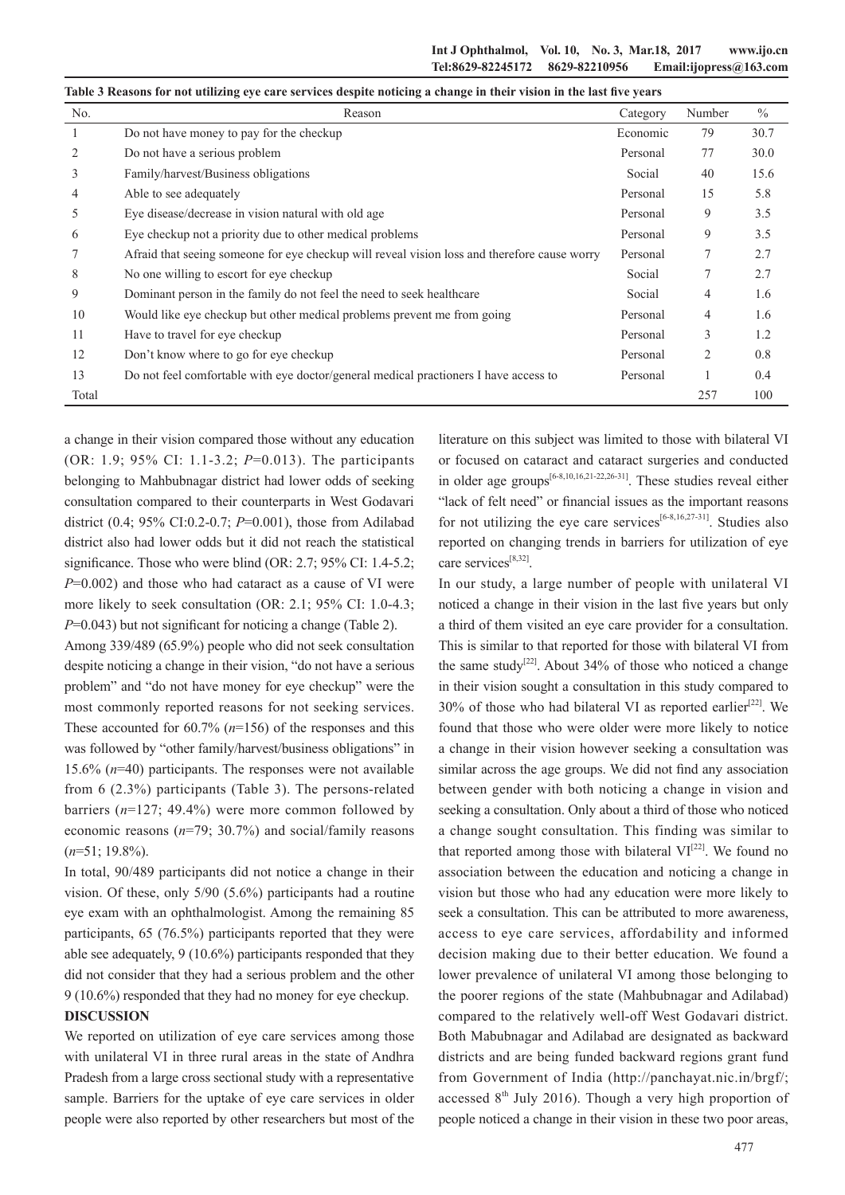| Table 3 Reasons for not utilizing eye care services despite noticing a change in their vision in the last five years |                                                                                              |          |        |               |  |  |  |  |
|----------------------------------------------------------------------------------------------------------------------|----------------------------------------------------------------------------------------------|----------|--------|---------------|--|--|--|--|
| No.                                                                                                                  | Reason                                                                                       | Category | Number | $\frac{0}{0}$ |  |  |  |  |
| $\perp$                                                                                                              | Do not have money to pay for the checkup                                                     | Economic | 79     | 30.7          |  |  |  |  |
| 2                                                                                                                    | Do not have a serious problem                                                                | Personal | 77     | 30.0          |  |  |  |  |
| 3                                                                                                                    | Family/harvest/Business obligations                                                          | Social   | 40     | 15.6          |  |  |  |  |
| 4                                                                                                                    | Able to see adequately                                                                       | Personal | 15     | 5.8           |  |  |  |  |
| 5                                                                                                                    | Eye disease/decrease in vision natural with old age                                          | Personal | 9      | 3.5           |  |  |  |  |
| 6                                                                                                                    | Eye checkup not a priority due to other medical problems                                     | Personal | 9      | 3.5           |  |  |  |  |
|                                                                                                                      | Afraid that seeing someone for eye checkup will reveal vision loss and therefore cause worry | Personal | 7      | 2.7           |  |  |  |  |
| 8                                                                                                                    | No one willing to escort for eye checkup                                                     | Social   | 7      | 2.7           |  |  |  |  |
| 9                                                                                                                    | Dominant person in the family do not feel the need to seek healthcare                        | Social   | 4      | 1.6           |  |  |  |  |
| 10                                                                                                                   | Would like eye checkup but other medical problems prevent me from going                      | Personal | 4      | 1.6           |  |  |  |  |
| 11                                                                                                                   | Have to travel for eye checkup                                                               | Personal | 3      | 1.2           |  |  |  |  |
| 12                                                                                                                   | Don't know where to go for eye checkup                                                       | Personal | 2      | 0.8           |  |  |  |  |
| 13                                                                                                                   | Do not feel comfortable with eye doctor/general medical practioners I have access to         | Personal |        | 0.4           |  |  |  |  |
| Total                                                                                                                |                                                                                              |          | 257    | 100           |  |  |  |  |

a change in their vision compared those without any education (OR: 1.9; 95% CI: 1.1-3.2; *P*=0.013). The participants belonging to Mahbubnagar district had lower odds of seeking consultation compared to their counterparts in West Godavari district (0.4; 95% CI:0.2-0.7; *P*=0.001), those from Adilabad district also had lower odds but it did not reach the statistical significance. Those who were blind (OR: 2.7; 95% CI: 1.4-5.2; *P*=0.002) and those who had cataract as a cause of VI were more likely to seek consultation (OR: 2.1; 95% CI: 1.0-4.3; *P*=0.043) but not significant for noticing a change (Table 2).

Among 339/489 (65.9%) people who did not seek consultation despite noticing a change in their vision, "do not have a serious problem" and "do not have money for eye checkup" were the most commonly reported reasons for not seeking services. These accounted for 60.7% (*n*=156) of the responses and this was followed by "other family/harvest/business obligations" in 15.6% (*n*=40) participants. The responses were not available from 6 (2.3%) participants (Table 3). The persons-related barriers (*n*=127; 49.4%) were more common followed by economic reasons (*n*=79; 30.7%) and social/family reasons (*n*=51; 19.8%).

In total, 90/489 participants did not notice a change in their vision. Of these, only 5/90 (5.6%) participants had a routine eye exam with an ophthalmologist. Among the remaining 85 participants, 65 (76.5%) participants reported that they were able see adequately, 9 (10.6%) participants responded that they did not consider that they had a serious problem and the other 9 (10.6%) responded that they had no money for eye checkup.

### **DISCUSSION**

We reported on utilization of eve care services among those with unilateral VI in three rural areas in the state of Andhra Pradesh from a large cross sectional study with a representative sample. Barriers for the uptake of eye care services in older people were also reported by other researchers but most of the

literature on this subject was limited to those with bilateral VI or focused on cataract and cataract surgeries and conducted in older age groups<sup>[6-8,10,16,21-22,26-31]</sup>. These studies reveal either "lack of felt need" or financial issues as the important reasons for not utilizing the eye care services<sup>[6-8,16,27-31]</sup>. Studies also reported on changing trends in barriers for utilization of eye care services<sup>[8,32]</sup>.

In our study, a large number of people with unilateral VI noticed a change in their vision in the last five years but only a third of them visited an eye care provider for a consultation. This is similar to that reported for those with bilateral VI from the same study<sup>[22]</sup>. About 34% of those who noticed a change in their vision sought a consultation in this study compared to 30% of those who had bilateral VI as reported earlier<sup>[22]</sup>. We found that those who were older were more likely to notice a change in their vision however seeking a consultation was similar across the age groups. We did not find any association between gender with both noticing a change in vision and seeking a consultation. Only about a third of those who noticed a change sought consultation. This finding was similar to that reported among those with bilateral  $VI^{[22]}$ . We found no association between the education and noticing a change in vision but those who had any education were more likely to seek a consultation. This can be attributed to more awareness, access to eye care services, affordability and informed decision making due to their better education. We found a lower prevalence of unilateral VI among those belonging to the poorer regions of the state (Mahbubnagar and Adilabad) compared to the relatively well-off West Godavari district. Both Mabubnagar and Adilabad are designated as backward districts and are being funded backward regions grant fund from Government of India (http://panchayat.nic.in/brgf/; accessed  $8<sup>th</sup>$  July 2016). Though a very high proportion of people noticed a change in their vision in these two poor areas,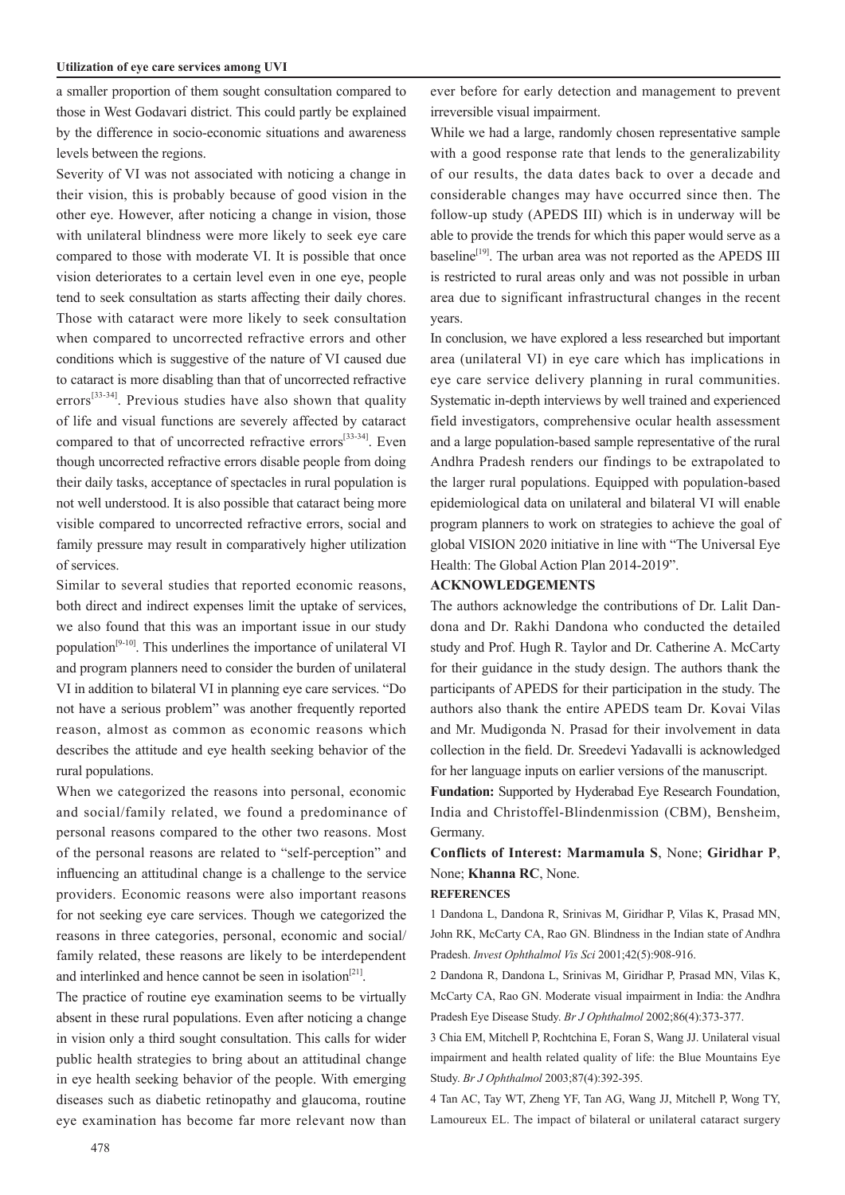a smaller proportion of them sought consultation compared to those in West Godavari district. This could partly be explained by the difference in socio-economic situations and awareness levels between the regions.

Severity of VI was not associated with noticing a change in their vision, this is probably because of good vision in the other eye. However, after noticing a change in vision, those with unilateral blindness were more likely to seek eye care compared to those with moderate VI. It is possible that once vision deteriorates to a certain level even in one eye, people tend to seek consultation as starts affecting their daily chores. Those with cataract were more likely to seek consultation when compared to uncorrected refractive errors and other conditions which is suggestive of the nature of VI caused due to cataract is more disabling than that of uncorrected refractive errors<sup>[33-34]</sup>. Previous studies have also shown that quality of life and visual functions are severely affected by cataract compared to that of uncorrected refractive errors<sup>[33-34]</sup>. Even though uncorrected refractive errors disable people from doing their daily tasks, acceptance of spectacles in rural population is not well understood. It is also possible that cataract being more visible compared to uncorrected refractive errors, social and family pressure may result in comparatively higher utilization of services.

Similar to several studies that reported economic reasons, both direct and indirect expenses limit the uptake of services, we also found that this was an important issue in our study population[9-10]. This underlines the importance of unilateral VI and program planners need to consider the burden of unilateral VI in addition to bilateral VI in planning eye care services. "Do not have a serious problem" was another frequently reported reason, almost as common as economic reasons which describes the attitude and eye health seeking behavior of the rural populations.

When we categorized the reasons into personal, economic and social/family related, we found a predominance of personal reasons compared to the other two reasons. Most of the personal reasons are related to "self-perception" and influencing an attitudinal change is a challenge to the service providers. Economic reasons were also important reasons for not seeking eye care services. Though we categorized the reasons in three categories, personal, economic and social/ family related, these reasons are likely to be interdependent and interlinked and hence cannot be seen in isolation<sup>[21]</sup>.

The practice of routine eye examination seems to be virtually absent in these rural populations. Even after noticing a change in vision only a third sought consultation. This calls for wider public health strategies to bring about an attitudinal change in eye health seeking behavior of the people. With emerging diseases such as diabetic retinopathy and glaucoma, routine eye examination has become far more relevant now than ever before for early detection and management to prevent irreversible visual impairment.

While we had a large, randomly chosen representative sample with a good response rate that lends to the generalizability of our results, the data dates back to over a decade and considerable changes may have occurred since then. The follow-up study (APEDS III) which is in underway will be able to provide the trends for which this paper would serve as a baseline<sup>[19]</sup>. The urban area was not reported as the APEDS III is restricted to rural areas only and was not possible in urban area due to significant infrastructural changes in the recent years.

In conclusion, we have explored a less researched but important area (unilateral VI) in eye care which has implications in eye care service delivery planning in rural communities. Systematic in-depth interviews by well trained and experienced field investigators, comprehensive ocular health assessment and a large population-based sample representative of the rural Andhra Pradesh renders our findings to be extrapolated to the larger rural populations. Equipped with population-based epidemiological data on unilateral and bilateral VI will enable program planners to work on strategies to achieve the goal of global VISION 2020 initiative in line with "The Universal Eye Health: The Global Action Plan 2014-2019".

#### **ACKNOWLEDGEMENTS**

The authors acknowledge the contributions of Dr. Lalit Dandona and Dr. Rakhi Dandona who conducted the detailed study and Prof. Hugh R. Taylor and Dr. Catherine A. McCarty for their guidance in the study design. The authors thank the participants of APEDS for their participation in the study. The authors also thank the entire APEDS team Dr. Kovai Vilas and Mr. Mudigonda N. Prasad for their involvement in data collection in the field. Dr. Sreedevi Yadavalli is acknowledged for her language inputs on earlier versions of the manuscript.

**Fundation:** Supported by Hyderabad Eye Research Foundation, India and Christoffel-Blindenmission (CBM), Bensheim, Germany.

**Conflicts of Interest: Marmamula S**, None; **Giridhar P**, None; **Khanna RC**, None.

#### **REFERENCES**

1 Dandona L, Dandona R, Srinivas M, Giridhar P, Vilas K, Prasad MN, John RK, McCarty CA, Rao GN. Blindness in the Indian state of Andhra Pradesh. *Invest Ophthalmol Vis Sci* 2001;42(5):908-916.

2 Dandona R, Dandona L, Srinivas M, Giridhar P, Prasad MN, Vilas K, McCarty CA, Rao GN. Moderate visual impairment in India: the Andhra Pradesh Eye Disease Study. *Br J Ophthalmol* 2002;86(4):373-377.

3 Chia EM, Mitchell P, Rochtchina E, Foran S, Wang JJ. Unilateral visual impairment and health related quality of life: the Blue Mountains Eye Study. *Br J Ophthalmol* 2003;87(4):392-395.

4 Tan AC, Tay WT, Zheng YF, Tan AG, Wang JJ, Mitchell P, Wong TY, Lamoureux EL. The impact of bilateral or unilateral cataract surgery